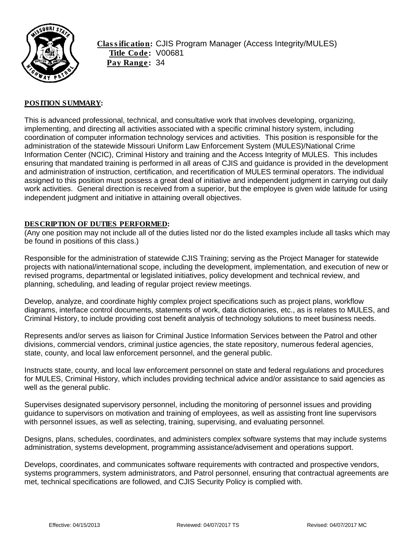

Classification: CJIS Program Manager (Access Integrity/MULES) Title Code: V00681 Pay Range: 34

## POSITION SUMMARY:

This is advanced professional, technical, and consultative work that involves developing, organizing, implementing, and directing all activities associated with a specific criminal history system, including coordination of computer information technology services and activities. This position is responsible for the administration of the statewide Missouri Uniform Law Enforcement System (MULES)/National Crime Information Center (NCIC), Criminal History and training and the Access Integrity of MULES. This includes ensuring that mandated training is performed in all areas of CJIS and guidance is provided in the development and administration of instruction, certification, and recertification of MULES terminal operators. The individual assigned to this position must possess a great deal of initiative and independent judgment in carrying out daily work activities. General direction is received from a superior, but the employee is given wide latitude for using independent judgment and initiative in attaining overall objectives.

### DESCRIPTION OF DUTIES PERFORMED:

(Any one position may not include all of the duties listed nor do the listed examples include all tasks which may be found in positions of this class.)

Responsible for the administration of statewide CJIS Training; serving as the Project Manager for statewide projects with national/international scope, including the development, implementation, and execution of new or revised programs, departmental or legislated initiatives, policy development and technical review, and planning, scheduling, and leading of regular project review meetings.

Develop, analyze, and coordinate highly complex project specifications such as project plans, workflow diagrams, interface control documents, statements of work, data dictionaries, etc., as is relates to MULES, and Criminal History, to include providing cost benefit analysis of technology solutions to meet business needs.

Represents and/or serves as liaison for Criminal Justice Information Services between the Patrol and other divisions, commercial vendors, criminal justice agencies, the state repository, numerous federal agencies, state, county, and local law enforcement personnel, and the general public.

Instructs state, county, and local law enforcement personnel on state and federal regulations and procedures for MULES, Criminal History, which includes providing technical advice and/or assistance to said agencies as well as the general public.

Supervises designated supervisory personnel, including the monitoring of personnel issues and providing guidance to supervisors on motivation and training of employees, as well as assisting front line supervisors with personnel issues, as well as selecting, training, supervising, and evaluating personnel.

Designs, plans, schedules, coordinates, and administers complex software systems that may include systems administration, systems development, programming assistance/advisement and operations support.

Develops, coordinates, and communicates software requirements with contracted and prospective vendors, systems programmers, system administrators, and Patrol personnel, ensuring that contractual agreements are met, technical specifications are followed, and CJIS Security Policy is complied with.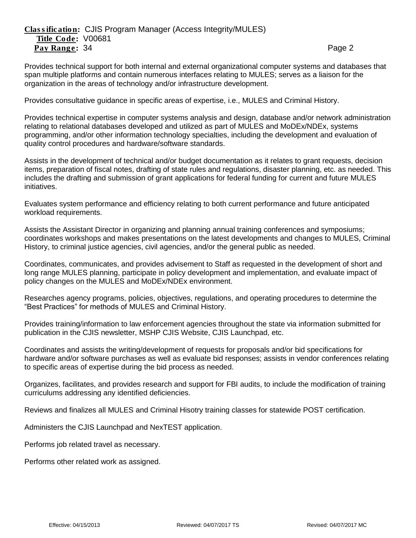Provides technical support for both internal and external organizational computer systems and databases that span multiple platforms and contain numerous interfaces relating to MULES; serves as a liaison for the organization in the areas of technology and/or infrastructure development.

Provides consultative guidance in specific areas of expertise, i.e., MULES and Criminal History.

Provides technical expertise in computer systems analysis and design, database and/or network administration relating to relational databases developed and utilized as part of MULES and MoDEx/NDEx, systems programming, and/or other information technology specialties, including the development and evaluation of quality control procedures and hardware/software standards.

Assists in the development of technical and/or budget documentation as it relates to grant requests, decision items, preparation of fiscal notes, drafting of state rules and regulations, disaster planning, etc. as needed. This includes the drafting and submission of grant applications for federal funding for current and future MULES initiatives.

Evaluates system performance and efficiency relating to both current performance and future anticipated workload requirements.

Assists the Assistant Director in organizing and planning annual training conferences and symposiums; coordinates workshops and makes presentations on the latest developments and changes to MULES, Criminal History, to criminal justice agencies, civil agencies, and/or the general public as needed.

Coordinates, communicates, and provides advisement to Staff as requested in the development of short and long range MULES planning, participate in policy development and implementation, and evaluate impact of policy changes on the MULES and MoDEx/NDEx environment.

Researches agency programs, policies, objectives, regulations, and operating procedures to determine the "Best Practices" for methods of MULES and Criminal History.

Provides training/information to law enforcement agencies throughout the state via information submitted for publication in the CJIS newsletter, MSHP CJIS Website, CJIS Launchpad, etc.

Coordinates and assists the writing/development of requests for proposals and/or bid specifications for hardware and/or software purchases as well as evaluate bid responses; assists in vendor conferences relating to specific areas of expertise during the bid process as needed.

Organizes, facilitates, and provides research and support for FBI audits, to include the modification of training curriculums addressing any identified deficiencies.

Reviews and finalizes all MULES and Criminal Hisotry training classes for statewide POST certification.

Administers the CJIS Launchpad and NexTEST application.

Performs job related travel as necessary.

Performs other related work as assigned.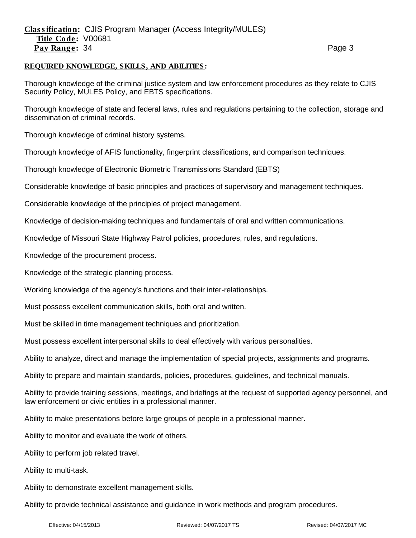# Classification: CJIS Program Manager (Access Integrity/MULES) Title Code: V00681 Pay Range: 34 **Page 3** Page 3

### REQUIRED KNOWLEDGE, SKILLS, AND ABILITIES:

Thorough knowledge of the criminal justice system and law enforcement procedures as they relate to CJIS Security Policy, MULES Policy, and EBTS specifications.

Thorough knowledge of state and federal laws, rules and regulations pertaining to the collection, storage and dissemination of criminal records.

Thorough knowledge of criminal history systems.

Thorough knowledge of AFIS functionality, fingerprint classifications, and comparison techniques.

Thorough knowledge of Electronic Biometric Transmissions Standard (EBTS)

Considerable knowledge of basic principles and practices of supervisory and management techniques.

Considerable knowledge of the principles of project management.

Knowledge of decision-making techniques and fundamentals of oral and written communications.

Knowledge of Missouri State Highway Patrol policies, procedures, rules, and regulations.

Knowledge of the procurement process.

Knowledge of the strategic planning process.

Working knowledge of the agency's functions and their inter-relationships.

Must possess excellent communication skills, both oral and written.

Must be skilled in time management techniques and prioritization.

Must possess excellent interpersonal skills to deal effectively with various personalities.

Ability to analyze, direct and manage the implementation of special projects, assignments and programs.

Ability to prepare and maintain standards, policies, procedures, guidelines, and technical manuals.

Ability to provide training sessions, meetings, and briefings at the request of supported agency personnel, and law enforcement or civic entities in a professional manner.

Ability to make presentations before large groups of people in a professional manner.

Ability to monitor and evaluate the work of others.

Ability to perform job related travel.

Ability to multi-task.

Ability to demonstrate excellent management skills.

Ability to provide technical assistance and guidance in work methods and program procedures.